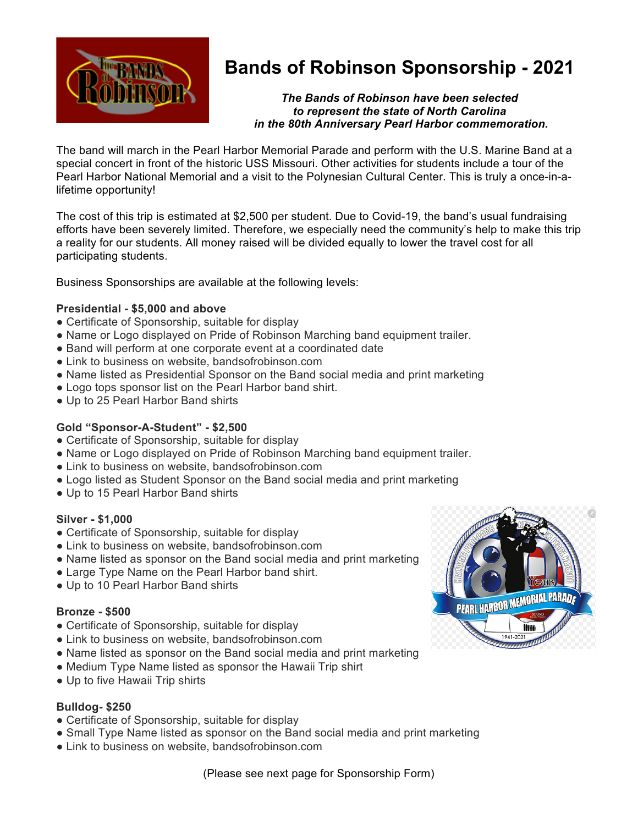

# **Bands of Robinson Sponsorship - 2021**

*The Bands of Robinson have been selected to represent the state of North Carolina in the 80th Anniversary Pearl Harbor commemoration.*

The band will march in the Pearl Harbor Memorial Parade and perform with the U.S. Marine Band at a special concert in front of the historic USS Missouri. Other activities for students include a tour of the Pearl Harbor National Memorial and a visit to the Polynesian Cultural Center. This is truly a once-in-alifetime opportunity!

The cost of this trip is estimated at \$2,500 per student. Due to Covid-19, the band's usual fundraising efforts have been severely limited. Therefore, we especially need the community's help to make this trip a reality for our students. All money raised will be divided equally to lower the travel cost for all participating students.

Business Sponsorships are available at the following levels:

# **Presidential - \$5,000 and above**

- Certificate of Sponsorship, suitable for display
- Name or Logo displayed on Pride of Robinson Marching band equipment trailer.
- Band will perform at one corporate event at a coordinated date
- Link to business on website, bandsofrobinson.com
- Name listed as Presidential Sponsor on the Band social media and print marketing
- Logo tops sponsor list on the Pearl Harbor band shirt.
- Up to 25 Pearl Harbor Band shirts

# **Gold "Sponsor-A-Student" - \$2,500**

- Certificate of Sponsorship, suitable for display
- Name or Logo displayed on Pride of Robinson Marching band equipment trailer.
- Link to business on website, bandsofrobinson.com
- Logo listed as Student Sponsor on the Band social media and print marketing
- Up to 15 Pearl Harbor Band shirts

#### **Silver - \$1,000**

- Certificate of Sponsorship, suitable for display
- Link to business on website, bandsofrobinson.com
- Name listed as sponsor on the Band social media and print marketing
- Large Type Name on the Pearl Harbor band shirt.
- Up to 10 Pearl Harbor Band shirts

#### **Bronze - \$500**

- Certificate of Sponsorship, suitable for display
- Link to business on website, bandsofrobinson.com
- Name listed as sponsor on the Band social media and print marketing
- Medium Type Name listed as sponsor the Hawaii Trip shirt
- Up to five Hawaii Trip shirts

# **Bulldog- \$250**

- Certificate of Sponsorship, suitable for display
- Small Type Name listed as sponsor on the Band social media and print marketing
- Link to business on website, bandsofrobinson.com